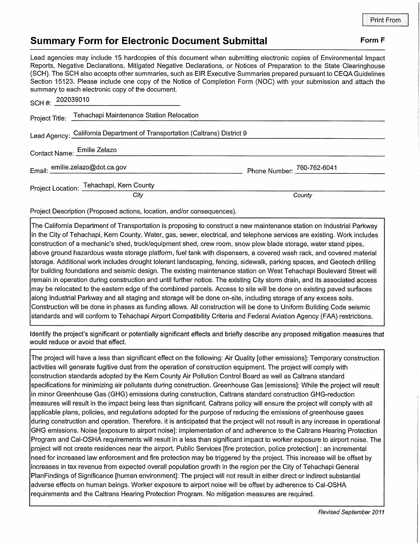## **Summary Form for Electronic Document Submittal Form F Form F**

Lead agencies may include 15 hardcopies of this document when submitting electronic copies of Environmental Impact Reports, Negative Declarations, Mitigated Negative Declarations, or Notices of Preparation to the State Clearinghouse (SCH). The SCH also accepts other summaries, such as EIR Executive Summaries prepared pursuant to CEQA Guidelines Section 15123. Please include one copy of the Notice of Completion Form (NOC) with your submission and attach the summary to each electronic copy of the document.

| SCH #: $202039010$                                                         |                                                         |                            |
|----------------------------------------------------------------------------|---------------------------------------------------------|----------------------------|
|                                                                            | Project Title: Tehachapi Maintenance Station Relocation |                            |
| Lead Agency: California Department of Transportation (Caltrans) District 9 |                                                         |                            |
| Contact Name: Emilie Zelazo                                                |                                                         |                            |
|                                                                            | Email: emilie.zelazo@dot.ca.gov                         | Phone Number: 760-762-6041 |
|                                                                            | Project Location: Tehachapi, Kern County                |                            |
|                                                                            | City                                                    | County                     |

Project Description (Proposed actions, location, and/or consequences).

The California Department of Transportation is proposing to construct a new maintenance station on Industrial Parkway in the City of Tehachapi, Kern County. Water, gas, sewer, electrical, and telephone services are existing. Work includes construction of a mechanic's shed, truck/equipment shed, crew room, snow plow blade storage, water stand pipes, above ground hazardous waste storage platform, fuel tank with dispensers, a covered wash rack, and covered material storage. Additional work includes drought tolerant landscaping, fencing, sidewalk, parking spaces, and Geotech drilling for building foundations and seismic design. The existing maintenance station on West Tehachapi Boulevard Street will remain in operation during construction and until further notice. The existing City storm drain, and its associated access may be relocated to the eastern edge of the combined parcels. Access to site will be done on existing paved surfaces along Industrial Parkway and all staging and storage will be done on-site, including storage of any excess soils. Construction will be done in phases as funding allows. All construction will be done to Uniform Building Code seismic standards and will conform to Tehachapi Airport Compatibility Criteria and Federal Aviation Agency (FAA) restrictions.

Identify the project's significant or potentially significant effects and briefly describe any proposed mitigation measures that would reduce or avoid that effect.

The project will have a less than significant effect on the following: Air Quality [other emissions]: Temporary construction activities will generate fugitive dust from the operation of construction equipment. The project will comply with construction standards adopted by the Kern County Air Pollution Control Board as well as Caltrans standard specifications for minimizing air pollutants during construction. Greenhouse Gas [emissions]: While the project will result in minor Greenhouse Gas (GHG) emissions during construction, Caltrans standard construction GHG-reduction measures will result in the impact being less than significant. Caltrans policy will ensure the project will comply with all applicable plans, policies, and regulations adopted for the purpose of reducing the emissions of greenhouse gases during construction and operation. Therefore. it is anticipated that the project will not result in any increase in operational GHG emissions. Noise [exposure to airport noise]: implementation of and adherence to the Caltrans Hearing Protection Program and Cal-OSHA requirements will result in a less than significant impact to worker exposure to airport noise. The project will not create residences near the airport. Public Services [fire protection, police protection] : an incremental need for increased law enforcement and fire protection may be triggered by the project. This increase will be offset by increases in tax revenue from expected overall population growth in the region per the City of Tehachapi General PlanFindings of Significance [human environment]: The project will not result in either direct or indirect substantial adverse effects on human beings. Worker exposure to airport noise will be offset by adherence to Cal-OSHA requirements and the Caltrans Hearing Protection Program. No mitigation measures are required.

Revised September 2011